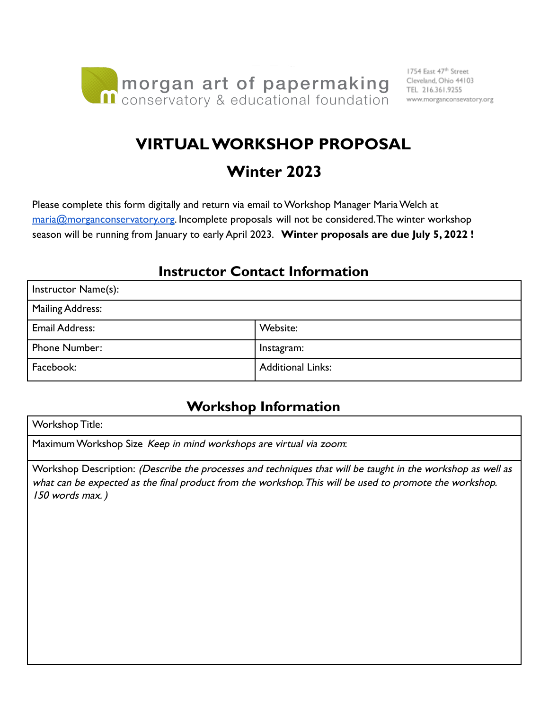

# **VIRTUAL WORKSHOP PROPOSAL**

# **Winter 2023**

Please complete this form digitally and return via email to Workshop Manager Maria Welch at [maria@morganconservatory.org.](mailto:maria@morganconservatory.org) Incomplete proposals will not be considered. The winter workshop season will be running from January to early April 2023. **Winter proposals are due July 5, 2022 !**

#### **Instructor Contact Information**

| Instructor Name(s):   |                          |
|-----------------------|--------------------------|
| Mailing Address:      |                          |
| <b>Email Address:</b> | Website:                 |
| <b>Phone Number:</b>  | Instagram:               |
| Facebook:             | <b>Additional Links:</b> |

#### **Workshop Information**

Workshop Title:

Maximum Workshop Size Keep in mind workshops are virtual via zoom:

Workshop Description: (Describe the processes and techniques that will be taught in the workshop as well as what can be expected as the final product from the workshop.This will be used to promote the workshop. 150 words max. )